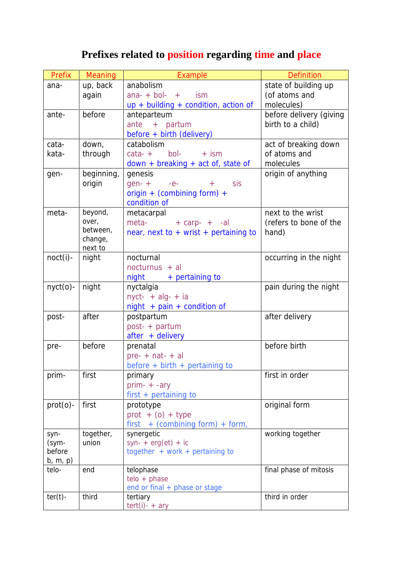## **Prefixes related to position regarding time and place**

| Prefix      | Meaning    | Example                                   | <b>Definition</b>       |
|-------------|------------|-------------------------------------------|-------------------------|
| ana-        | up, back   | anabolism                                 | state of building up    |
|             | again      | $ana- + bol- +$<br>ism                    | (of atoms and           |
|             |            | $up + building + condition, action of$    | molecules)              |
| ante-       | before     | anteparteum                               | before delivery (giving |
|             |            | ante + partum                             | birth to a child)       |
|             |            | before + birth (delivery)                 |                         |
| cata-       | down,      | catabolism                                | act of breaking down    |
| kata-       | through    | bol-<br>$\text{cata-}$ +<br>$+$ ism       | of atoms and            |
|             |            | $down + breaking + act$ of, state of      | molecules               |
| gen-        | beginning, | genesis                                   | origin of anything      |
|             | origin     | sis<br>$gen- +$<br>$-e-$<br>$+$           |                         |
|             |            | origin + (combining form) +               |                         |
|             |            | condition of                              |                         |
| meta-       | beyond,    | metacarpal                                | next to the wrist       |
|             | over,      | meta-<br>$+$ carp- $+$ -al                | (refers to bone of the  |
|             | between,   | near, next to $+$ wrist $+$ pertaining to | hand)                   |
|             | change,    |                                           |                         |
|             | next to    |                                           |                         |
| $noct(i)$ - | night      | nocturnal                                 | occurring in the night  |
|             |            | nocturnus + al                            |                         |
|             |            | $night$ + pertaining to                   |                         |
| $nyct(0)$ - | night      | nyctalgia                                 | pain during the night   |
|             |            | $nyct- + alg- + ia$                       |                         |
|             |            | $night + pain + condition of$             |                         |
| post-       | after      | postpartum                                | after delivery          |
|             |            | post- + partum                            |                         |
|             |            | after + delivery                          |                         |
| pre-        | before     | prenatal                                  | before birth            |
|             |            | $pre- + nat- + al$                        |                         |
|             |            | before $+$ birth $+$ pertaining to        |                         |
| prim-       | first      | primary                                   | first in order          |
|             |            | $prim- + -ary$                            |                         |
|             |            | first + pertaining to                     |                         |
| $prot(o)$ - | first      | prototype                                 | original form           |
|             |            | $prot + (o) + type$                       |                         |
|             |            | + (combining form) + form,<br>first       |                         |
| syn-        | together,  | synergetic                                | working together        |
| (sym-       | union      | syn- + $erg (et) + ic$                    |                         |
| before      |            | together $+$ work $+$ pertaining to       |                         |
| b, m, p)    |            |                                           |                         |
| telo-       | end        | telophase                                 | final phase of mitosis  |
|             |            | $telo + phase$                            |                         |
|             |            | end or final + phase or stage             |                         |
| $ter(t)$ -  | third      | tertiary                                  | third in order          |
|             |            | $tert(i) - + ary$                         |                         |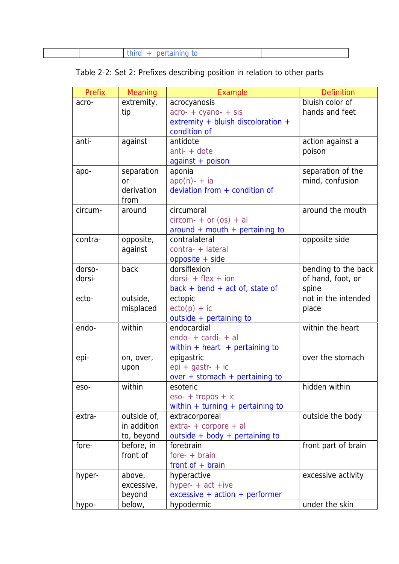|--|--|

|  | Table 2-2: Set 2: Prefixes describing position in relation to other parts |  |
|--|---------------------------------------------------------------------------|--|
|  |                                                                           |  |

| Prefix  | Meaning       | Example                                            | <b>Definition</b>   |
|---------|---------------|----------------------------------------------------|---------------------|
| acro-   | extremity,    | acrocyanosis                                       | bluish color of     |
|         | tip           | $\arccos \theta + \arccos \theta + \arccos \theta$ | hands and feet      |
|         |               | extremity + bluish discoloration +                 |                     |
|         |               | condition of                                       |                     |
| anti-   | against       | antidote                                           | action against a    |
|         |               | $anti- + dote$                                     | poison              |
|         |               | $against + poison$                                 |                     |
| apo-    | separation    | aponia                                             | separation of the   |
|         | <sub>or</sub> | $apo(n) - + ia$                                    | mind, confusion     |
|         | derivation    | deviation from $+$ condition of                    |                     |
|         | from          |                                                    |                     |
| circum- | around        | circumoral                                         | around the mouth    |
|         |               | $circom + or (os) + al$                            |                     |
|         |               | around + mouth + pertaining to                     |                     |
| contra- | opposite,     | contralateral                                      | opposite side       |
|         | against       | contra- + lateral                                  |                     |
|         |               | opposite + side                                    |                     |
| dorso-  | back          | dorsiflexion                                       | bending to the back |
| dorsi-  |               | $dorsi- + flex + ion$                              | of hand, foot, or   |
|         |               | $back + bend + act of$ , state of                  | spine               |
| ecto-   | outside,      | ectopic                                            | not in the intended |
|         | misplaced     | $ecto(p) + ic$                                     | place               |
|         |               | outside + pertaining to                            |                     |
| endo-   | within        | endocardial                                        | within the heart    |
|         |               | $endo- + cardi- + al$                              |                     |
|         |               | within + heart + pertaining to                     |                     |
| epi-    | on, over,     | epigastric                                         | over the stomach    |
|         | upon          | $epi + gastr - + ic$                               |                     |
|         |               | over + stomach + pertaining to                     |                     |
| eso-    | within        | esoteric                                           | hidden within       |
|         |               | $\text{eso-}$ + tropos + ic                        |                     |
|         |               | within $+$ turning $+$ pertaining to               |                     |
| extra-  | outside of,   | extracorporeal                                     | outside the body    |
|         | in addition   | $extra- + corporate + al$                          |                     |
|         | to, beyond    | outside + body + pertaining to                     |                     |
| fore-   | before, in    | forebrain                                          | front part of brain |
|         | front of      | $fore + brain$                                     |                     |
|         |               | front of $+$ brain                                 |                     |
| hyper-  | above,        | hyperactive                                        | excessive activity  |
|         | excessive,    | hyper- $+$ act $+$ ive                             |                     |
|         | beyond        | $excessive + action + performance$                 |                     |
| hypo-   | below,        | hypodermic                                         | under the skin      |
|         |               |                                                    |                     |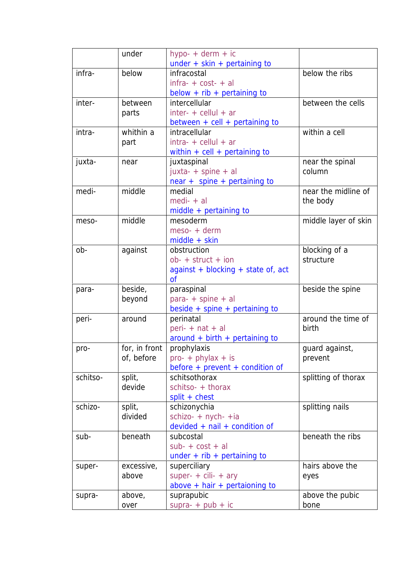|          | under         | hypo- + derm + ic                  |                      |
|----------|---------------|------------------------------------|----------------------|
|          |               | under $+$ skin $+$ pertaining to   |                      |
| infra-   | below         | infracostal                        | below the ribs       |
|          |               | $infra- + cost- + al$              |                      |
|          |               | below $+$ rib $+$ pertaining to    |                      |
| inter-   | between       | intercellular                      | between the cells    |
|          | parts         | $inter- +$ cellul + ar             |                      |
|          |               | between $+$ cell $+$ pertaining to |                      |
| intra-   | whithin a     | intracellular                      | within a cell        |
|          | part          | $intra+$ cellul + ar               |                      |
|          |               | within $+$ cell $+$ pertaining to  |                      |
| juxta-   | near          | juxtaspinal                        | near the spinal      |
|          |               | juxta- + spine + al                | column               |
|          |               | near + spine + pertaining to       |                      |
| medi-    | middle        | medial                             | near the midline of  |
|          |               | $medi- + al$                       | the body             |
|          |               | $middle + pertaining to$           |                      |
| meso-    | middle        | mesoderm                           | middle layer of skin |
|          |               | meso- + derm                       |                      |
|          |               | $middle + skin$                    |                      |
| ob-      | against       | obstruction                        | blocking of a        |
|          |               | $ob- + struct + ion$               | structure            |
|          |               | against + blocking + state of, act |                      |
|          |               | <b>of</b>                          |                      |
| para-    | beside,       | paraspinal                         | beside the spine     |
|          | beyond        | para- + spine + al                 |                      |
|          |               | beside $+$ spine $+$ pertaining to |                      |
| peri-    | around        | perinatal                          | around the time of   |
|          |               | peri- $+$ nat $+$ al               | birth                |
|          |               | around + birth + pertaining to     |                      |
| pro-     | for, in front | prophylaxis                        | guard against,       |
|          | of, before    | $pro- + phylax + is$               | prevent              |
|          |               | before + prevent + condition of    |                      |
| schitso- | split,        | schitsothorax                      | splitting of thorax  |
|          | devide        | schitso- + thorax                  |                      |
|          |               | split + chest                      |                      |
| schizo-  | split,        | schizonychia                       | splitting nails      |
|          | divided       | schizo- + nych- +ia                |                      |
|          |               | $devided + nail + condition of$    |                      |
| sub-     | beneath       | subcostal                          | beneath the ribs     |
|          |               | $sub- + cost + al$                 |                      |
|          |               | under $+$ rib $+$ pertaining to    |                      |
| super-   | excessive,    | superciliary                       | hairs above the      |
|          | above         | super- $+$ cili- $+$ ary           | eyes                 |
|          |               | above $+$ hair $+$ pertaioning to  |                      |
| supra-   | above,        | suprapubic                         | above the pubic      |
|          | over          | $supra- + pub + ic$                | bone                 |
|          |               |                                    |                      |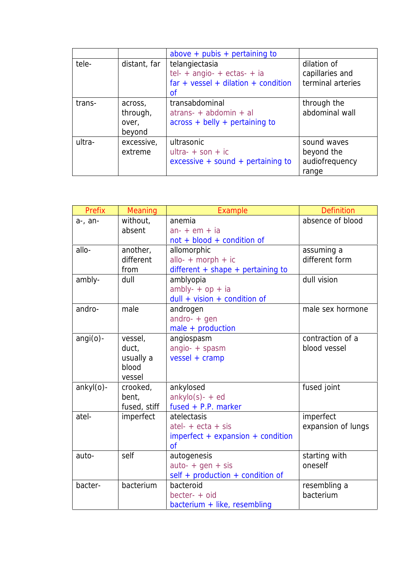|        |                                        | above + pubis + pertaining to                                                                         |                                                      |
|--------|----------------------------------------|-------------------------------------------------------------------------------------------------------|------------------------------------------------------|
| tele-  | distant, far                           | telangiectasia<br>$tel- + angio- + ectas- + ia$<br>$far + vessel + dilation + condition$<br><b>of</b> | dilation of<br>capillaries and<br>terminal arteries  |
| trans- | across,<br>through,<br>over,<br>beyond | transabdominal<br>$atrans + abdomin + al$<br>$across + belly + pertaining to$                         | through the<br>abdominal wall                        |
| ultra- | excessive,<br>extreme                  | ultrasonic<br>$ultra- + son + ic$<br>$excessive + sound + pertaining to$                              | sound waves<br>beyond the<br>audiofrequency<br>range |

| Prefix      | Meaning      | Example                                | <b>Definition</b>  |
|-------------|--------------|----------------------------------------|--------------------|
| a-, an-     | without,     | anemia                                 | absence of blood   |
|             | absent       | $an - + em + ia$                       |                    |
|             |              | not + blood + condition of             |                    |
| allo-       | another,     | allomorphic                            | assuming a         |
|             | different    | allo- $+$ morph $+$ ic                 | different form     |
|             | from         | $differential + shape + pertaining to$ |                    |
| ambly-      | dull         | amblyopia                              | dull vision        |
|             |              | $ambly- + op + ia$                     |                    |
|             |              | $dull + vision + condition of$         |                    |
| andro-      | male         | androgen                               | male sex hormone   |
|             |              | andro- $+$ gen                         |                    |
|             |              | male + production                      |                    |
| $angi(o)$ - | vessel,      | angiospasm                             | contraction of a   |
|             | duct,        | angio- + spasm                         | blood vessel       |
|             | usually a    | $vessel + cramp$                       |                    |
|             | blood        |                                        |                    |
|             | vessel       |                                        |                    |
| ankyl(o)-   | crooked,     | ankylosed                              | fused joint        |
|             | bent,        | $ankylo(s) - + ed$                     |                    |
|             | fused, stiff | fused $+$ P.P. marker                  |                    |
| atel-       | imperfect    | atelectasis                            | imperfect          |
|             |              | $atel+ecta + sis$                      | expansion of lungs |
|             |              | $imperfect + expansion + condition$    |                    |
|             |              | $\sigma$ f                             |                    |
| auto-       | self         | autogenesis                            | starting with      |
|             |              | $auto- + gen + sis$                    | oneself            |
|             |              | self + production + condition of       |                    |
| bacter-     | bacterium    | bacteroid                              | resembling a       |
|             |              | becter- + oid                          | bacterium          |
|             |              | bacterium + like, resembling           |                    |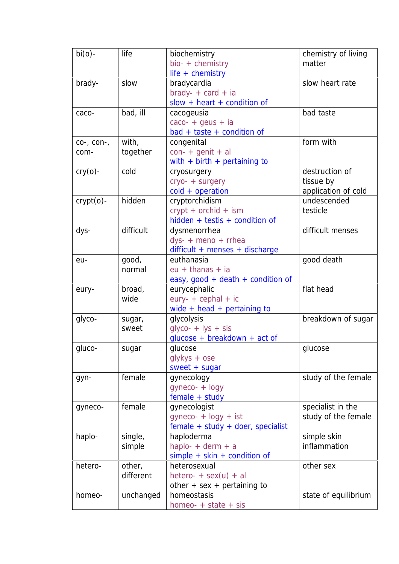| $bi(o)$ -         | life      | biochemistry                      | chemistry of living  |
|-------------------|-----------|-----------------------------------|----------------------|
|                   |           | bio- + chemistry                  | matter               |
|                   |           | life + chemistry                  |                      |
| brady-            | slow      | bradycardia                       | slow heart rate      |
|                   |           | $brady- + card + ia$              |                      |
|                   |           | $slow + heart + condition of$     |                      |
| caco-             | bad, ill  | cacogeusia                        | bad taste            |
|                   |           | $caco- + geus + ia$               |                      |
|                   |           | $bad + taste + condition of$      |                      |
| $co-, con-,$      | with,     | congenital                        | form with            |
| com-              | together  | $con- +$ genit + al               |                      |
|                   |           | with $+$ birth $+$ pertaining to  |                      |
| $\text{cry}(o)$ - | cold      | cryosurgery                       | destruction of       |
|                   |           | cryo- + surgery                   | tissue by            |
|                   |           | $cold + operation$                | application of cold  |
| $crypt(o)$ -      | hidden    | cryptorchidism                    | undescended          |
|                   |           | $crypt + orchid + ism$            | testicle             |
|                   |           | hidden + testis + condition of    |                      |
| dys-              | difficult | dysmenorrhea                      | difficult menses     |
|                   |           | $dys - +$ meno + rrhea            |                      |
|                   |           | difficult + menses + discharge    |                      |
| eu-               | good,     | euthanasia                        | good death           |
|                   | normal    | $eu + thanas + ia$                |                      |
|                   |           | easy, good + death + condition of |                      |
| eury-             | broad,    | eurycephalic                      | flat head            |
|                   | wide      | $eury- + cephal + ic$             |                      |
|                   |           | wide + head + pertaining to       |                      |
| glyco-            | sugar,    | glycolysis                        | breakdown of sugar   |
|                   | sweet     | $glyCO- + lys + sis$              |                      |
|                   |           | $glucose + breakdown + act$ of    |                      |
| gluco-            | sugar     | glucose                           | glucose              |
|                   |           | $q$ lykys + ose                   |                      |
|                   |           | $sweet + sugar$                   |                      |
| gyn-              | female    | gynecology                        | study of the female  |
|                   |           | gyneco- + logy                    |                      |
|                   |           | female + study                    |                      |
| gyneco-           | female    | gynecologist                      | specialist in the    |
|                   |           | $gyneco- + logy + ist$            | study of the female  |
|                   |           | female + study + doer, specialist |                      |
| haplo-            | single,   | haploderma                        | simple skin          |
|                   | simple    | haplo- $+$ derm $+$ a             | inflammation         |
|                   |           | $simple + skin + condition of$    |                      |
| hetero-           | other,    | heterosexual                      | other sex            |
|                   | different | hetero- + $sex(u) + al$           |                      |
|                   |           | other $+$ sex $+$ pertaining to   |                      |
| homeo-            | unchanged | homeostasis                       | state of equilibrium |
|                   |           | homeo- $+$ state $+$ sis          |                      |
|                   |           |                                   |                      |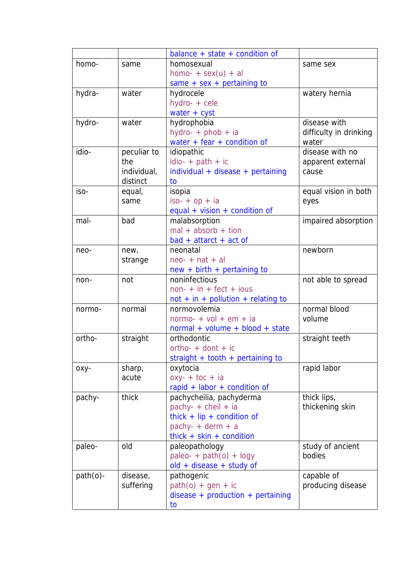|             |             | balance + state + condition of       |                        |
|-------------|-------------|--------------------------------------|------------------------|
| homo-       | same        | homosexual                           | same sex               |
|             |             | homo- + $sex(u) + al$                |                        |
|             |             | same $+$ sex $+$ pertaining to       |                        |
| hydra-      | water       | hydrocele                            | watery hernia          |
|             |             | hydro- + cele                        |                        |
|             |             | water $+$ cyst                       |                        |
| hydro-      | water       | hydrophobia                          | disease with           |
|             |             | hydro- + phob + ia                   | difficulty in drinking |
|             |             | water + fear + condition of          | water                  |
| idio-       | peculiar to | idiopathic                           | disease with no        |
|             | the         | $idio- + path + ic$                  | apparent external      |
|             | individual, | individual + disease + pertaining    | cause                  |
|             | distinct    | to                                   |                        |
| iso-        | equal,      | isopia                               | equal vision in both   |
|             | same        |                                      |                        |
|             |             | $iso+op+ia$                          | eyes                   |
| mal-        |             | equal + vision + condition of        |                        |
|             | bad         | malabsorption                        | impaired absorption    |
|             |             | $mal + absorb + tion$                |                        |
|             |             | $bad + attract + act of$             |                        |
| neo-        | new,        | neonatal                             | newborn                |
|             | strange     | $neo- + nat + al$                    |                        |
|             |             | $new + birth + pertaining to$        |                        |
| non-        | not         | noninfectious                        | not able to spread     |
|             |             | $non+ in + feet + ious$              |                        |
|             |             | $not + in + pollution + relating to$ |                        |
| normo-      | normal      | normovolemia                         | normal blood           |
|             |             | normo- + $vol + em + ia$             | volume                 |
|             |             | normal + volume + blood + state      |                        |
| ortho-      | straight    | orthodontic                          | straight teeth         |
|             |             | ortho- $+$ dont $+$ ic               |                        |
|             |             | straight + tooth + pertaining to     |                        |
| оху-        | sharp,      | oxytocia                             | rapid labor            |
|             | acute       | $0xy - +$ toc + ia                   |                        |
|             |             | rapid + labor + condition of         |                        |
| pachy-      | thick       | pachycheilia, pachyderma             | thick lips,            |
|             |             | pachy- $+$ cheil $+$ ia              | thickening skin        |
|             |             | thick + $lip$ + condition of         |                        |
|             |             | pachy- $+$ derm $+$ a                |                        |
|             |             | thick + skin + condition             |                        |
| paleo-      | old         | paleopathology                       | study of ancient       |
|             |             | paleo- + $path(o)$ + logy            | bodies                 |
|             |             |                                      |                        |
|             |             | old + disease + study of             |                        |
| $path(o)$ - | disease,    | pathogenic                           | capable of             |
|             | suffering   | $path(o) + gen + ic$                 | producing disease      |
|             |             | $disease + production + pertaining$  |                        |
|             |             | to                                   |                        |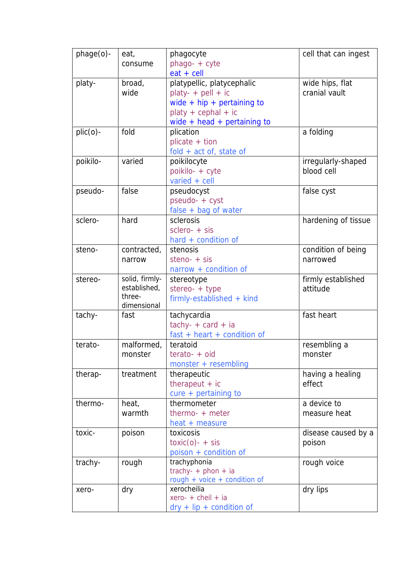| phage(o)-   | eat,           | phagocyte                       | cell that can ingest |
|-------------|----------------|---------------------------------|----------------------|
|             | consume        | phago- + cyte                   |                      |
|             |                | $eat + cell$                    |                      |
| platy-      | broad,         | platypellic, platycephalic      | wide hips, flat      |
|             | wide           | $play- + pell + ic$             | cranial vault        |
|             |                | wide + $hip + pertaining to$    |                      |
|             |                | $ploty + cephal + ic$           |                      |
|             |                | wide $+$ head $+$ pertaining to |                      |
| $plic(0)$ - | fold           | plication                       | a folding            |
|             |                | $plicate + tion$                |                      |
|             |                | $fold + act of$ , state of      |                      |
| poikilo-    | varied         | poikilocyte                     | irregularly-shaped   |
|             |                | poikilo- + cyte                 | blood cell           |
|             |                | varied $+$ cell                 |                      |
| pseudo-     | false          | pseudocyst                      | false cyst           |
|             |                | pseudo- + cyst                  |                      |
|             |                | $false + bag$ of water          |                      |
| sclero-     | hard           | sclerosis                       | hardening of tissue  |
|             |                | $sclero- + sis$                 |                      |
|             |                | hard + condition of             |                      |
| steno-      | contracted,    | stenosis                        | condition of being   |
|             | narrow         | steno- $+$ sis                  | narrowed             |
|             |                | $narrow + condition of$         |                      |
| stereo-     | solid, firmly- | stereotype                      | firmly established   |
|             | established,   | stereo- $+$ type                | attitude             |
|             | three-         | $firmly-established + kind$     |                      |
|             | dimensional    |                                 |                      |
| tachy-      | fast           | tachycardia                     | fast heart           |
|             |                | $tachy- + card + ia$            |                      |
|             |                | $fast + heart + condition of$   |                      |
| terato-     | malformed,     | teratoid                        | resembling a         |
|             | monster        | $terato- + oid$                 | monster              |
|             |                | monster + resembling            |                      |
| therap-     | treatment      | therapeutic                     | having a healing     |
|             |                | therapeut $+$ ic                | effect               |
|             |                | cure + pertaining to            |                      |
| thermo-     | heat,          | thermometer                     | a device to          |
|             | warmth         | $thermo- + meter$               | measure heat         |
|             |                | heat + measure                  |                      |
| toxic-      | poison         | toxicosis                       | disease caused by a  |
|             |                | $\text{toxic}(o)$ - + sis       | poison               |
|             |                | poison + condition of           |                      |
| trachy-     | rough          | trachyphonia                    | rough voice          |
|             |                | trachy- + phon + ia             |                      |
|             |                | rough + voice + condition of    |                      |
| xero-       | dry            | xerocheilia                     | dry lips             |
|             |                | xero- + cheil + ia              |                      |
|             |                | $dry + lip + condition of$      |                      |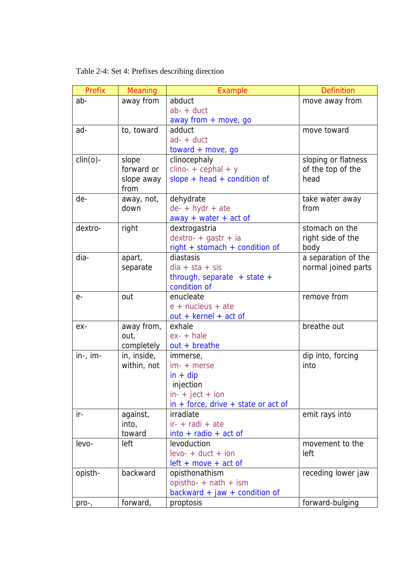Table 2-4: Set 4: Prefixes describing direction

| Prefix      | Meaning     | Example                                 | <b>Definition</b>   |
|-------------|-------------|-----------------------------------------|---------------------|
| ab-         | away from   | abduct                                  | move away from      |
|             |             | $ab - + duct$                           |                     |
|             |             | away from $+$ move, go                  |                     |
| ad-         | to, toward  | adduct                                  | move toward         |
|             |             | $ad - + duct$                           |                     |
|             |             | $toward + move, go$                     |                     |
| $clin(o)$ - | slope       | clinocephaly                            | sloping or flatness |
|             | forward or  | $clino- + cephal + y$                   | of the top of the   |
|             | slope away  | slope + head + condition of             | head                |
|             | from        |                                         |                     |
| de-         | away, not,  | dehydrate                               | take water away     |
|             | down        | $de- + hydr + ate$                      | from                |
|             |             | $away + water + act$                    |                     |
| dextro-     | right       | dextrogastria                           | stomach on the      |
|             |             | dextro- + gastr + ia                    | right side of the   |
|             |             | right + stomach + condition of          | body                |
| dia-        | apart,      | diastasis                               | a separation of the |
|             | separate    | $dia + sta + sis$                       | normal joined parts |
|             |             | through, separate $+$ state $+$         |                     |
|             |             | condition of                            |                     |
| $e-$        | out         | enucleate                               | remove from         |
|             |             | $e$ + nucleus + ate                     |                     |
|             |             | $out + kernel + act$ of                 |                     |
| ex-         | away from,  | exhale                                  | breathe out         |
|             | out,        | $ex-+hale$                              |                     |
|             | completely  | $out + breathe$                         |                     |
| $in-, im-$  | in, inside, | immerse,                                | dip into, forcing   |
|             | within, not | $im-+$ merse                            | into                |
|             |             | $in + dip$                              |                     |
|             |             | injection                               |                     |
|             |             | $in-+$ ject + ion                       |                     |
|             |             | $in +$ force, drive $+$ state or act of |                     |
| $ir -$      | against,    | irradiate                               | emit rays into      |
|             | into,       | $ir - +$ radi + ate                     |                     |
|             | toward      | $into + radio + act of$                 |                     |
| levo-       | left        | levoduction                             | movement to the     |
|             |             | $levo- + duct + ion$                    | left                |
|             |             | $left + move + act$ of                  |                     |
| opisth-     | backward    | opisthonathism                          | receding lower jaw  |
|             |             | opistho- $+$ nath $+$ ism               |                     |
|             |             | backward + jaw + condition of           |                     |
| pro-,       | forward,    | proptosis                               | forward-bulging     |
|             |             |                                         |                     |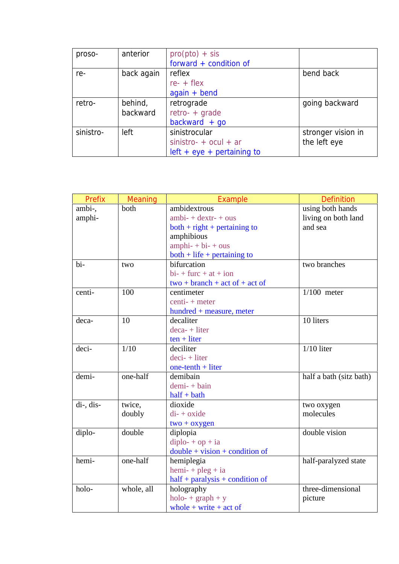| proso-    | anterior   | $\text{pro}(\text{pto}) + \text{sis}$ |                    |
|-----------|------------|---------------------------------------|--------------------|
|           |            | forward + condition of                |                    |
| re-       | back again | reflex                                | bend back          |
|           |            | $re- + flex$                          |                    |
|           |            | $again + bend$                        |                    |
| retro-    | behind,    | retrograde                            | going backward     |
|           | backward   | $retro- + grade$                      |                    |
|           |            | $backward + go$                       |                    |
| sinistro- | left       | sinistrocular                         | stronger vision in |
|           |            | $sinistro- + ocul + ar$               | the left eye       |
|           |            | $left + eye + pertaining to$          |                    |

| Prefix    | Meaning    | Example                           | <b>Definition</b>       |
|-----------|------------|-----------------------------------|-------------------------|
| ambi-,    | both       | ambidextrous                      | using both hands        |
| amphi-    |            | $ambi + dextr - +ous$             | living on both land     |
|           |            | $both + right + pertaining to$    | and sea                 |
|           |            | amphibious                        |                         |
|           |            | $amphi + bi + ous$                |                         |
|           |            | $both + life + pertaining to$     |                         |
| bi-       | two        | bifurcation                       | two branches            |
|           |            | $bi$ - + furc + at + ion          |                         |
|           |            | $two + branch + act of + act of$  |                         |
| centi-    | 100        | centimeter                        | $1/100$ meter           |
|           |            | centi- + meter                    |                         |
|           |            | hundred + measure, meter          |                         |
| deca-     | 10         | decaliter                         | 10 liters               |
|           |            | $deca-$ + liter                   |                         |
|           |            | $ten + liter$                     |                         |
| deci-     | 1/10       | deciliter                         | $1/10$ liter            |
|           |            | $deci+ liter$                     |                         |
|           |            | one-tenth $+$ liter               |                         |
| demi-     | one-half   | demibain                          | half a bath (sitz bath) |
|           |            | $demi - + bain$                   |                         |
|           |            | $half + bath$                     |                         |
| di-, dis- | twice,     | dioxide                           | two oxygen              |
|           | doubly     | $di - +$ oxide                    | molecules               |
|           |            | $two + oxygen$                    |                         |
| diplo-    | double     | diplopia                          | double vision           |
|           |            | $diplo-+op+ia$                    |                         |
|           |            | $double + vision + condition of$  |                         |
| hemi-     | one-half   | hemiplegia                        | half-paralyzed state    |
|           |            | $hemi$ - + $pleg$ + ia            |                         |
|           |            | $half + paralysis + condition of$ |                         |
| holo-     | whole, all | holography                        | three-dimensional       |
|           |            | $holo-+graph+y$                   | picture                 |
|           |            | whole + write + act of            |                         |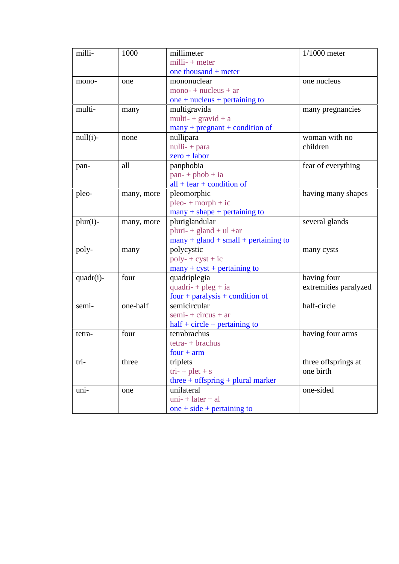| milli-      | 1000       | millimeter                             | $1/1000$ meter        |
|-------------|------------|----------------------------------------|-----------------------|
|             |            | $milli-+meter$                         |                       |
|             |            | one thousand + meter                   |                       |
| mono-       | one        | mononuclear                            | one nucleus           |
|             |            | $mono$ + $nucleus$ + $ar$              |                       |
|             |            | one + $nucleus + pertaining to$        |                       |
| multi-      | many       | multigravida                           | many pregnancies      |
|             |            | multi- + $gravid + a$                  |                       |
|             |            | $many + pregnant + condition of$       |                       |
| $null(i)$ - | none       | nullipara                              | woman with no         |
|             |            | $nulli - + para$                       | children              |
|             |            | $zero + labor$                         |                       |
| pan-        | all        | panphobia                              | fear of everything    |
|             |            | $pan + phob + ia$                      |                       |
|             |            | $all + fear + condition of$            |                       |
| pleo-       | many, more | pleomorphic                            | having many shapes    |
|             |            | $pleo-+morph + ic$                     |                       |
|             |            | $many + shape + pertaining to$         |                       |
| $plur(i)$ - | many, more | pluriglandular                         | several glands        |
|             |            | pluri- + gland + $ul$ + $ar$           |                       |
|             |            | $many + gland + small + pertaining to$ |                       |
| poly-       | many       | polycystic                             | many cysts            |
|             |            | $poly- + cyst + ic$                    |                       |
|             |            | $many + cyst + pertaining to$          |                       |
| quadr(i)-   | four       | quadriplegia                           | having four           |
|             |            | quadri- $+$ pleg $+$ ia                | extremities paralyzed |
|             |            | $four + paralysis + condition of$      |                       |
| semi-       | one-half   | semicircular                           | half-circle           |
|             |            | $semi + circus + ar$                   |                       |
|             |            | $half + circle + pertaining to$        |                       |
| tetra-      | four       | tetrabrachus                           | having four arms      |
|             |            | $tetra- + brachus$                     |                       |
|             |            | $four + arm$                           |                       |
| tri-        | three      | triplets                               | three offsprings at   |
|             |            | $tri- + plet + s$                      | one birth             |
|             |            | three $+$ offspring $+$ plural marker  |                       |
| uni-        | one        | unilateral                             | one-sided             |
|             |            | $uni + later + al$                     |                       |
|             |            | one $+$ side $+$ pertaining to         |                       |
|             |            |                                        |                       |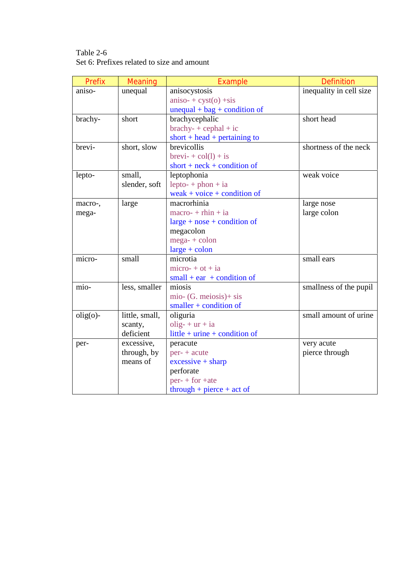Table 2-6 Set 6: Prefixes related to size and amount

| Prefix      | Meaning        | Example                                     | <b>Definition</b>       |
|-------------|----------------|---------------------------------------------|-------------------------|
| aniso-      | unequal        | anisocystosis                               | inequality in cell size |
|             |                | $aniso$ + $cyst(o)$ +sis                    |                         |
|             |                | $unequal + bag + condition of$              |                         |
| brachy-     | short          | brachycephalic                              | short head              |
|             |                | $brachy- + cephal + ic$                     |                         |
|             |                | short + head + pertaining to                |                         |
| brevi-      | short, slow    | brevicollis                                 | shortness of the neck   |
|             |                | $\text{brevi-} + \text{col}(l) + \text{is}$ |                         |
|             |                | short + $neck$ + condition of               |                         |
| lepto-      | small,         | leptophonia                                 | weak voice              |
|             | slender, soft  | $lepto - + p \text{hon} + ia$               |                         |
|             |                | weak + voice + condition of                 |                         |
| macro-,     | large          | macrorhinia                                 | large nose              |
| mega-       |                | $macro- + rhin + ia$                        | large colon             |
|             |                | $large + nose + condition of$               |                         |
|             |                | megacolon                                   |                         |
|             |                | $mega + colon$                              |                         |
|             |                | $large + colon$                             |                         |
| micro-      | small          | microtia                                    | small ears              |
|             |                | $micro + ot + ia$                           |                         |
|             |                | $small + ear + condition of$                |                         |
| mio-        | less, smaller  | miosis                                      | smallness of the pupil  |
|             |                | mio- $(G. meiosis) + sis$                   |                         |
|             |                | $smaller + condition of$                    |                         |
| $olig(o)$ - | little, small, | oliguria                                    | small amount of urine   |
|             | scanty,        | $olig- + ur + ia$                           |                         |
|             | deficient      | little + $urine$ + condition of             |                         |
| per-        | excessive,     | peracute                                    | very acute              |
|             | through, by    | $per- + acute$                              | pierce through          |
|             | means of       | $excessive + sharp$                         |                         |
|             |                | perforate                                   |                         |
|             |                | $per + for +$                               |                         |
|             |                | $through + piece + act of$                  |                         |